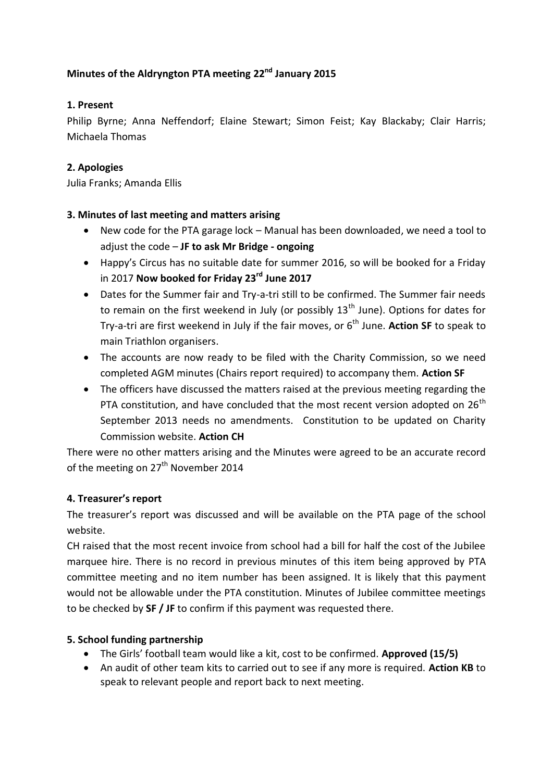# **Minutes of the Aldryngton PTA meeting 22nd January 2015**

## **1. Present**

Philip Byrne; Anna Neffendorf; Elaine Stewart; Simon Feist; Kay Blackaby; Clair Harris; Michaela Thomas

### **2. Apologies**

Julia Franks; Amanda Ellis

### **3. Minutes of last meeting and matters arising**

- New code for the PTA garage lock Manual has been downloaded, we need a tool to adjust the code – **JF to ask Mr Bridge - ongoing**
- Happy's Circus has no suitable date for summer 2016, so will be booked for a Friday in 2017 **Now booked for Friday 23rd June 2017**
- Dates for the Summer fair and Try-a-tri still to be confirmed. The Summer fair needs to remain on the first weekend in July (or possibly  $13<sup>th</sup>$  June). Options for dates for Try-a-tri are first weekend in July if the fair moves, or 6<sup>th</sup> June. Action SF to speak to main Triathlon organisers.
- The accounts are now ready to be filed with the Charity Commission, so we need completed AGM minutes (Chairs report required) to accompany them. **Action SF**
- The officers have discussed the matters raised at the previous meeting regarding the PTA constitution, and have concluded that the most recent version adopted on  $26<sup>th</sup>$ September 2013 needs no amendments. Constitution to be updated on Charity Commission website. **Action CH**

There were no other matters arising and the Minutes were agreed to be an accurate record of the meeting on 27<sup>th</sup> November 2014

#### **4. Treasurer's report**

The treasurer's report was discussed and will be available on the PTA page of the school website.

CH raised that the most recent invoice from school had a bill for half the cost of the Jubilee marquee hire. There is no record in previous minutes of this item being approved by PTA committee meeting and no item number has been assigned. It is likely that this payment would not be allowable under the PTA constitution. Minutes of Jubilee committee meetings to be checked by **SF / JF** to confirm if this payment was requested there.

#### **5. School funding partnership**

- The Girls' football team would like a kit, cost to be confirmed. **Approved (15/5)**
- An audit of other team kits to carried out to see if any more is required. **Action KB** to speak to relevant people and report back to next meeting.